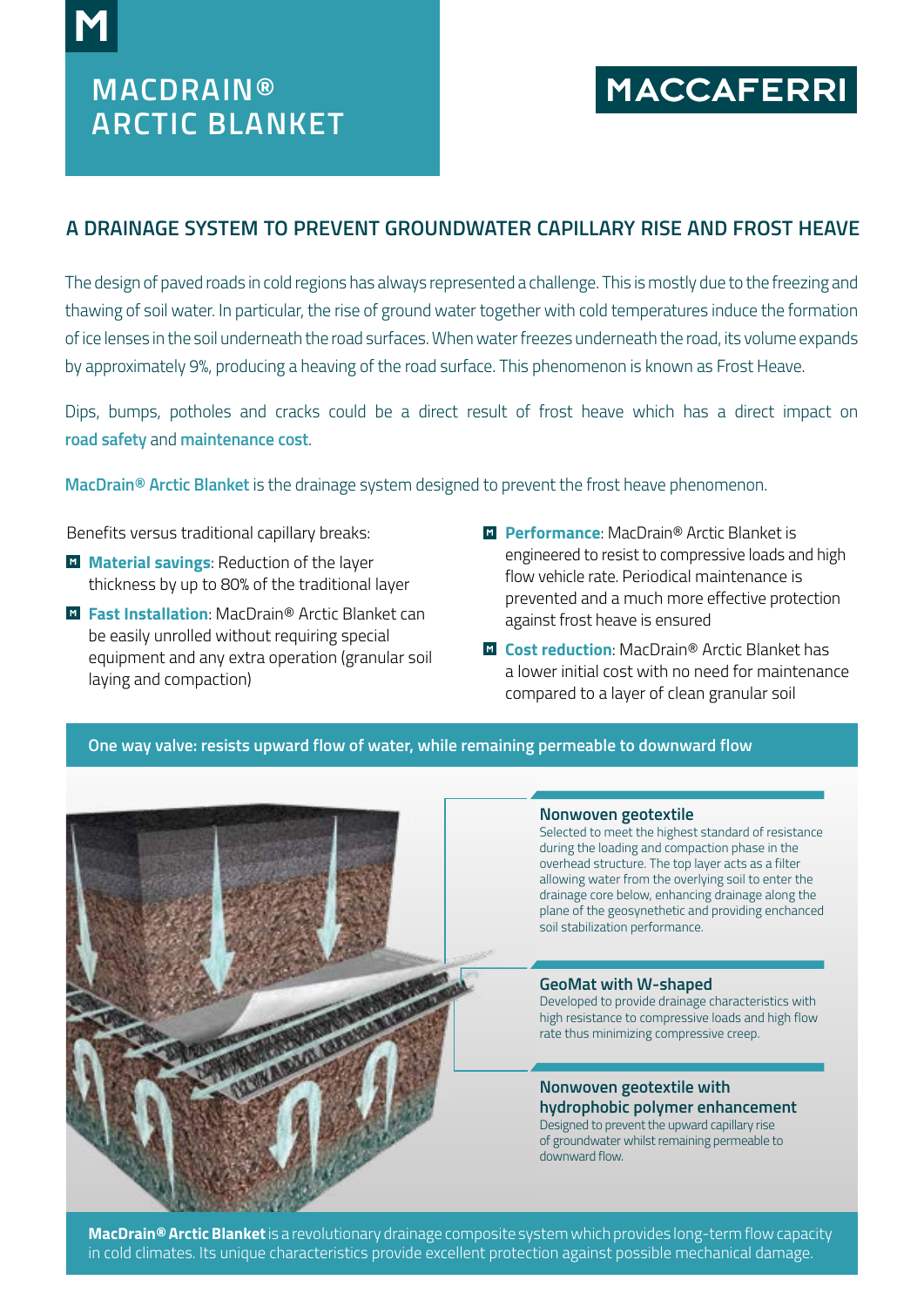# **MACDRAIN® ARCTIC BLANKET**

# **MACCAFERRI**

## **A DRAINAGE SYSTEM TO PREVENT GROUNDWATER CAPILLARY RISE AND FROST HEAVE**

The design of paved roads in cold regions has always represented a challenge. This is mostly due to the freezing and thawing of soil water. In particular, the rise of ground water together with cold temperatures induce the formation of ice lenses in the soil underneath the road surfaces. When water freezes underneath the road, its volume expands by approximately 9%, producing a heaving of the road surface. This phenomenon is known as Frost Heave.

Dips, bumps, potholes and cracks could be a direct result of frost heave which has a direct impact on **road safety** and **maintenance cost**.

**MacDrain® Arctic Blanket** is the drainage system designed to prevent the frost heave phenomenon.

Benefits versus traditional capillary breaks:

- **M** Material savings: Reduction of the layer thickness by up to 80% of the traditional layer
- **Fast Installation**: MacDrain<sup>®</sup> Arctic Blanket can be easily unrolled without requiring special equipment and any extra operation (granular soil laying and compaction)
- **El Performance**: MacDrain<sup>®</sup> Arctic Blanket is engineered to resist to compressive loads and high flow vehicle rate. Periodical maintenance is prevented and a much more effective protection against frost heave is ensured
- **La Cost reduction**: MacDrain<sup>®</sup> Arctic Blanket has a lower initial cost with no need for maintenance compared to a layer of clean granular soil

### **One way valve: resists upward flow of water, while remaining permeable to downward flow**



#### **Nonwoven geotextile**

Selected to meet the highest standard of resistance during the loading and compaction phase in the overhead structure. The top layer acts as a filter allowing water from the overlying soil to enter the drainage core below, enhancing drainage along the plane of the geosynethetic and providing enchanced soil stabilization performance.

#### **GeoMat with W-shaped**

Developed to provide drainage characteristics with high resistance to compressive loads and high flow rate thus minimizing compressive creep.

**Nonwoven geotextile with hydrophobic polymer enhancement** Designed to prevent the upward capillary rise of groundwater whilst remaining permeable to downward flow.

**MacDrain® Arctic Blanket** is a revolutionary drainage composite system which provides long-term flow capacity in cold climates. Its unique characteristics provide excellent protection against possible mechanical damage.